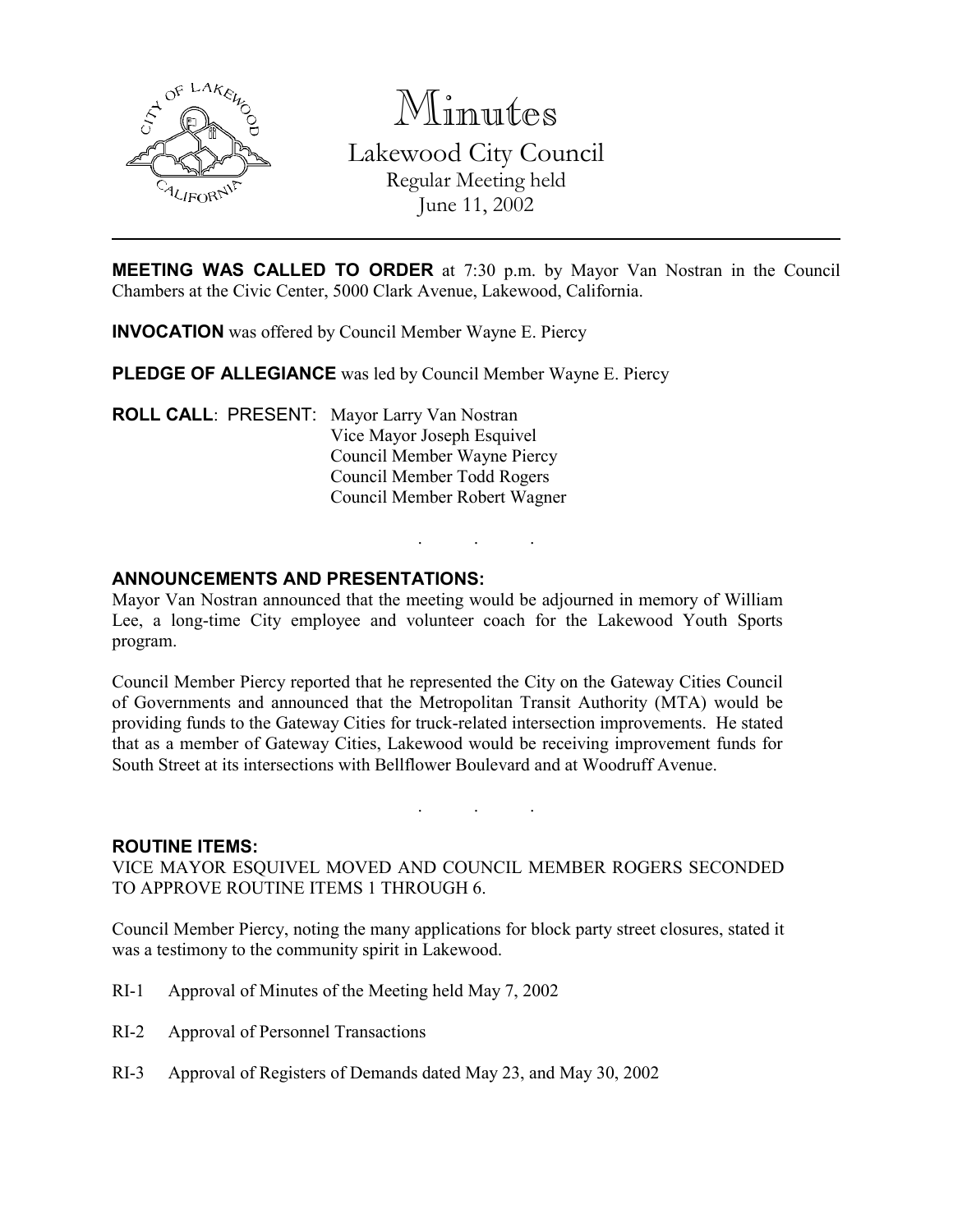

Minutes

Lakewood City Council Regular Meeting held June 11, 2002

MEETING WAS CALLED TO ORDER at 7:30 p.m. by Mayor Van Nostran in the Council Chambers at the Civic Center, 5000 Clark Avenue, Lakewood, California.

INVOCATION was offered by Council Member Wayne E. Piercy

PLEDGE OF ALLEGIANCE was led by Council Member Wayne E. Piercy

ROLL CALL: PRESENT: Mayor Larry Van Nostran Vice Mayor Joseph Esquivel Council Member Wayne Piercy Council Member Todd Rogers Council Member Robert Wagner

# ANNOUNCEMENTS AND PRESENTATIONS:

Mayor Van Nostran announced that the meeting would be adjourned in memory of William Lee, a long-time City employee and volunteer coach for the Lakewood Youth Sports program.

. . .

Council Member Piercy reported that he represented the City on the Gateway Cities Council of Governments and announced that the Metropolitan Transit Authority (MTA) would be providing funds to the Gateway Cities for truck-related intersection improvements. He stated that as a member of Gateway Cities, Lakewood would be receiving improvement funds for South Street at its intersections with Bellflower Boulevard and at Woodruff Avenue.

#### ROUTINE ITEMS:

VICE MAYOR ESQUIVEL MOVED AND COUNCIL MEMBER ROGERS SECONDED TO APPROVE ROUTINE ITEMS 1 THROUGH 6.

. . .

Council Member Piercy, noting the many applications for block party street closures, stated it was a testimony to the community spirit in Lakewood.

- RI-1 Approval of Minutes of the Meeting held May 7, 2002
- RI-2 Approval of Personnel Transactions
- RI-3 Approval of Registers of Demands dated May 23, and May 30, 2002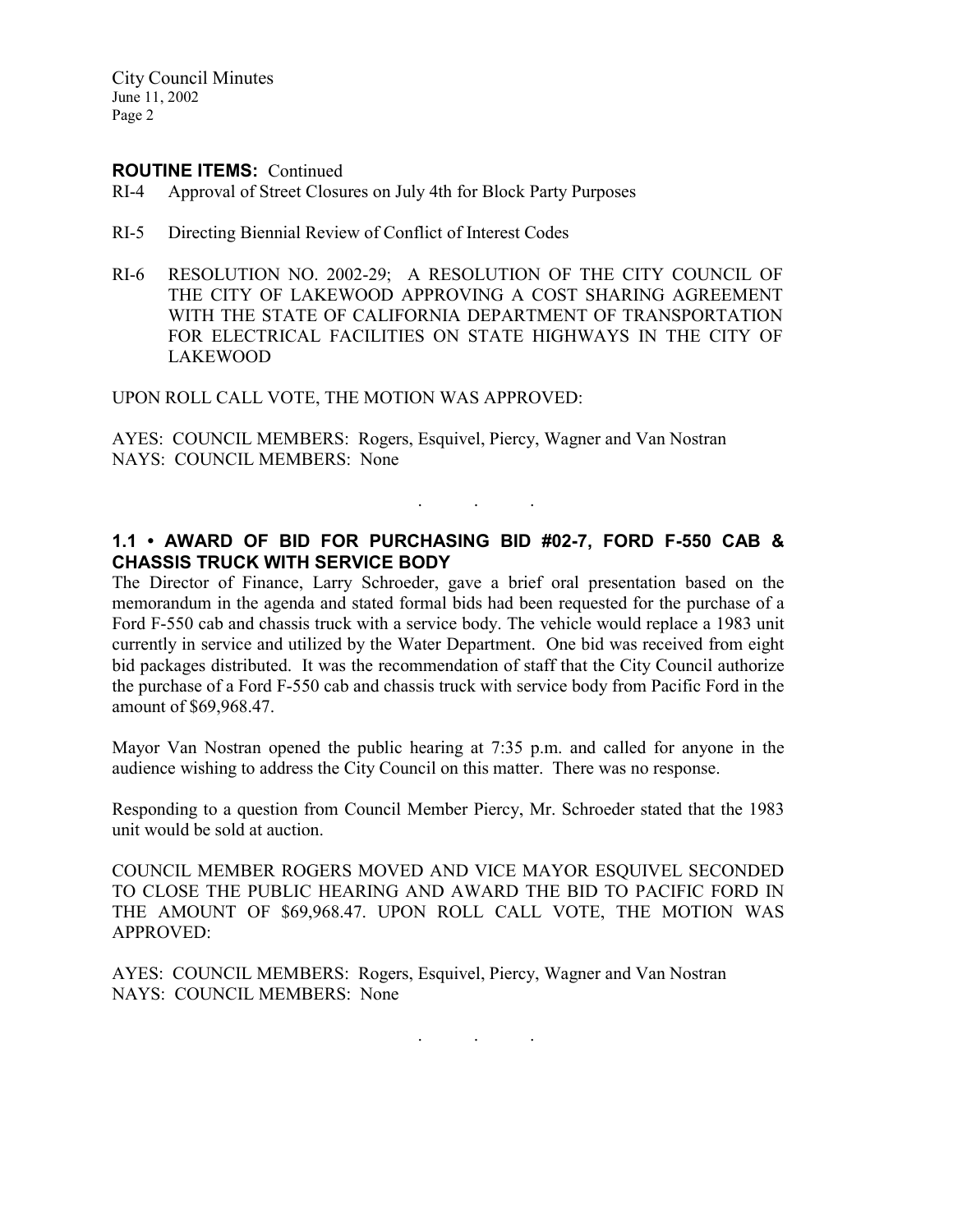City Council Minutes June 11, 2002 Page 2

#### ROUTINE ITEMS: Continued

- RI-4 Approval of Street Closures on July 4th for Block Party Purposes
- RI-5 Directing Biennial Review of Conflict of Interest Codes
- RI-6 RESOLUTION NO. 2002-29; A RESOLUTION OF THE CITY COUNCIL OF THE CITY OF LAKEWOOD APPROVING A COST SHARING AGREEMENT WITH THE STATE OF CALIFORNIA DEPARTMENT OF TRANSPORTATION FOR ELECTRICAL FACILITIES ON STATE HIGHWAYS IN THE CITY OF LAKEWOOD

UPON ROLL CALL VOTE, THE MOTION WAS APPROVED:

AYES: COUNCIL MEMBERS: Rogers, Esquivel, Piercy, Wagner and Van Nostran NAYS: COUNCIL MEMBERS: None

### 1.1 • AWARD OF BID FOR PURCHASING BID #02-7, FORD F-550 CAB & CHASSIS TRUCK WITH SERVICE BODY

. . .

The Director of Finance, Larry Schroeder, gave a brief oral presentation based on the memorandum in the agenda and stated formal bids had been requested for the purchase of a Ford F-550 cab and chassis truck with a service body. The vehicle would replace a 1983 unit currently in service and utilized by the Water Department. One bid was received from eight bid packages distributed. It was the recommendation of staff that the City Council authorize the purchase of a Ford F-550 cab and chassis truck with service body from Pacific Ford in the amount of \$69,968.47.

Mayor Van Nostran opened the public hearing at 7:35 p.m. and called for anyone in the audience wishing to address the City Council on this matter. There was no response.

Responding to a question from Council Member Piercy, Mr. Schroeder stated that the 1983 unit would be sold at auction.

COUNCIL MEMBER ROGERS MOVED AND VICE MAYOR ESQUIVEL SECONDED TO CLOSE THE PUBLIC HEARING AND AWARD THE BID TO PACIFIC FORD IN THE AMOUNT OF \$69,968.47. UPON ROLL CALL VOTE, THE MOTION WAS APPROVED:

AYES: COUNCIL MEMBERS: Rogers, Esquivel, Piercy, Wagner and Van Nostran NAYS: COUNCIL MEMBERS: None

. . .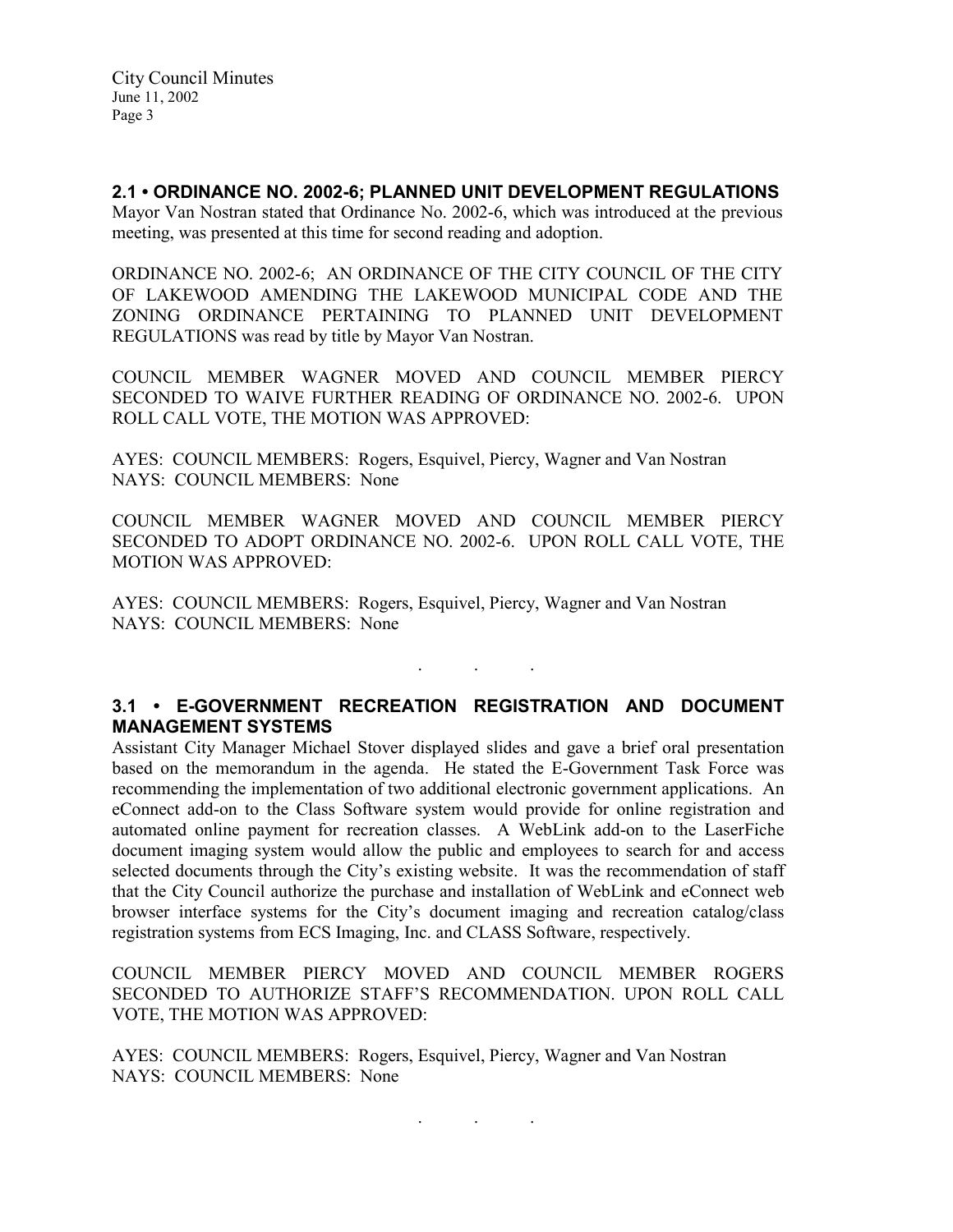2.1 • ORDINANCE NO. 2002-6; PLANNED UNIT DEVELOPMENT REGULATIONS Mayor Van Nostran stated that Ordinance No. 2002-6, which was introduced at the previous meeting, was presented at this time for second reading and adoption.

ORDINANCE NO. 2002-6; AN ORDINANCE OF THE CITY COUNCIL OF THE CITY OF LAKEWOOD AMENDING THE LAKEWOOD MUNICIPAL CODE AND THE ZONING ORDINANCE PERTAINING TO PLANNED UNIT DEVELOPMENT REGULATIONS was read by title by Mayor Van Nostran.

COUNCIL MEMBER WAGNER MOVED AND COUNCIL MEMBER PIERCY SECONDED TO WAIVE FURTHER READING OF ORDINANCE NO. 2002-6. UPON ROLL CALL VOTE, THE MOTION WAS APPROVED:

AYES: COUNCIL MEMBERS: Rogers, Esquivel, Piercy, Wagner and Van Nostran NAYS: COUNCIL MEMBERS: None

COUNCIL MEMBER WAGNER MOVED AND COUNCIL MEMBER PIERCY SECONDED TO ADOPT ORDINANCE NO. 2002-6. UPON ROLL CALL VOTE, THE MOTION WAS APPROVED:

AYES: COUNCIL MEMBERS: Rogers, Esquivel, Piercy, Wagner and Van Nostran NAYS: COUNCIL MEMBERS: None

# 3.1 • E-GOVERNMENT RECREATION REGISTRATION AND DOCUMENT MANAGEMENT SYSTEMS

. . .

Assistant City Manager Michael Stover displayed slides and gave a brief oral presentation based on the memorandum in the agenda. He stated the E-Government Task Force was recommending the implementation of two additional electronic government applications. An eConnect add-on to the Class Software system would provide for online registration and automated online payment for recreation classes. A WebLink add-on to the LaserFiche document imaging system would allow the public and employees to search for and access selected documents through the City's existing website. It was the recommendation of staff that the City Council authorize the purchase and installation of WebLink and eConnect web browser interface systems for the City's document imaging and recreation catalog/class registration systems from ECS Imaging, Inc. and CLASS Software, respectively.

COUNCIL MEMBER PIERCY MOVED AND COUNCIL MEMBER ROGERS SECONDED TO AUTHORIZE STAFF'S RECOMMENDATION. UPON ROLL CALL VOTE, THE MOTION WAS APPROVED:

AYES: COUNCIL MEMBERS: Rogers, Esquivel, Piercy, Wagner and Van Nostran NAYS: COUNCIL MEMBERS: None

. . .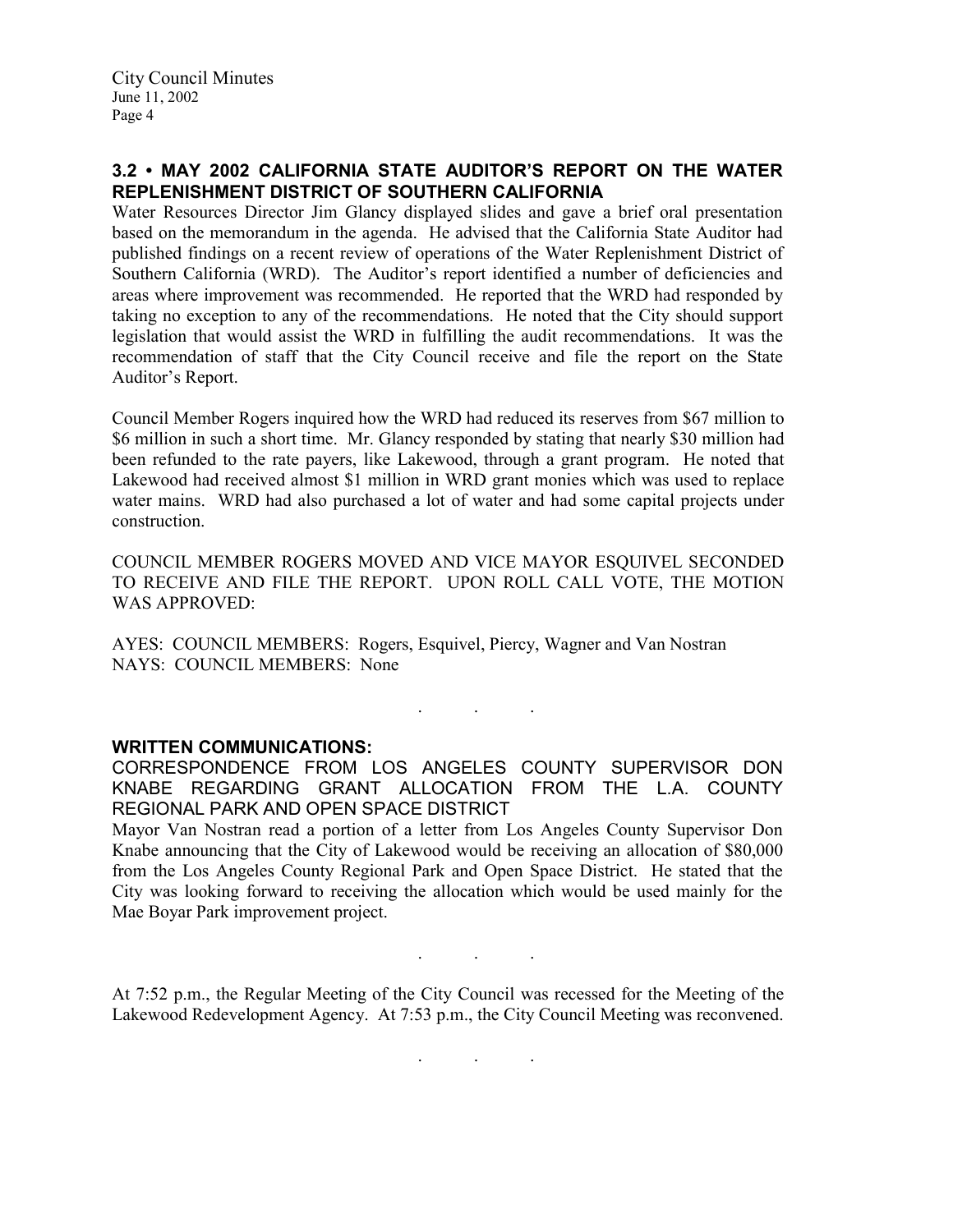# 3.2 • MAY 2002 CALIFORNIA STATE AUDITOR'S REPORT ON THE WATER REPLENISHMENT DISTRICT OF SOUTHERN CALIFORNIA

Water Resources Director Jim Glancy displayed slides and gave a brief oral presentation based on the memorandum in the agenda. He advised that the California State Auditor had published findings on a recent review of operations of the Water Replenishment District of Southern California (WRD). The Auditor's report identified a number of deficiencies and areas where improvement was recommended. He reported that the WRD had responded by taking no exception to any of the recommendations. He noted that the City should support legislation that would assist the WRD in fulfilling the audit recommendations. It was the recommendation of staff that the City Council receive and file the report on the State Auditor's Report.

Council Member Rogers inquired how the WRD had reduced its reserves from \$67 million to \$6 million in such a short time. Mr. Glancy responded by stating that nearly \$30 million had been refunded to the rate payers, like Lakewood, through a grant program. He noted that Lakewood had received almost \$1 million in WRD grant monies which was used to replace water mains. WRD had also purchased a lot of water and had some capital projects under construction.

COUNCIL MEMBER ROGERS MOVED AND VICE MAYOR ESQUIVEL SECONDED TO RECEIVE AND FILE THE REPORT. UPON ROLL CALL VOTE, THE MOTION WAS APPROVED:

AYES: COUNCIL MEMBERS: Rogers, Esquivel, Piercy, Wagner and Van Nostran NAYS: COUNCIL MEMBERS: None

#### WRITTEN COMMUNICATIONS:

CORRESPONDENCE FROM LOS ANGELES COUNTY SUPERVISOR DON KNABE REGARDING GRANT ALLOCATION FROM THE L.A. COUNTY REGIONAL PARK AND OPEN SPACE DISTRICT

. . .

Mayor Van Nostran read a portion of a letter from Los Angeles County Supervisor Don Knabe announcing that the City of Lakewood would be receiving an allocation of \$80,000 from the Los Angeles County Regional Park and Open Space District. He stated that the City was looking forward to receiving the allocation which would be used mainly for the Mae Boyar Park improvement project.

At 7:52 p.m., the Regular Meeting of the City Council was recessed for the Meeting of the Lakewood Redevelopment Agency. At 7:53 p.m., the City Council Meeting was reconvened.

. . .

. . .